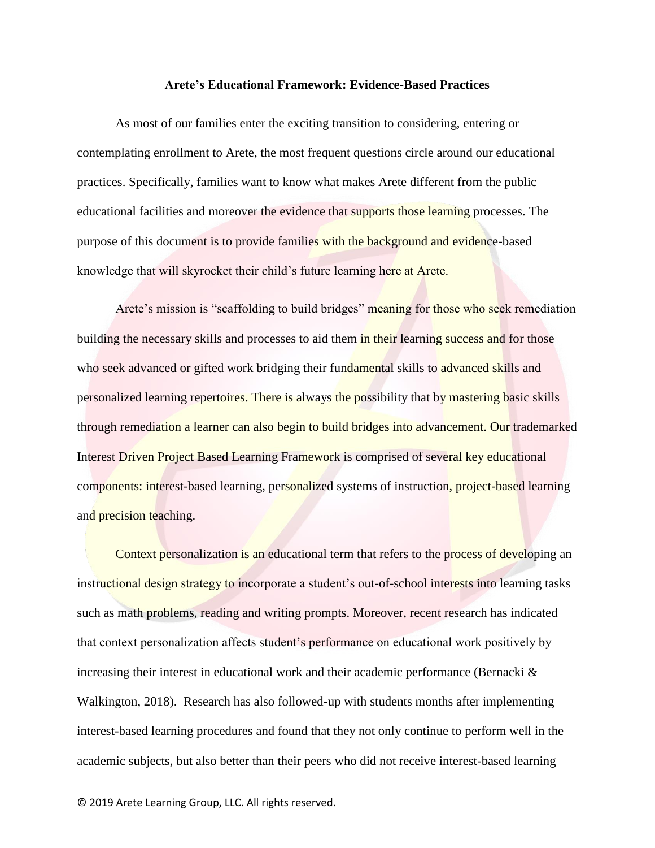## **Arete's Educational Framework: Evidence-Based Practices**

As most of our families enter the exciting transition to considering, entering or contemplating enrollment to Arete, the most frequent questions circle around our educational practices. Specifically, families want to know what makes Arete different from the public educational facilities and moreover the evidence that supports those learning processes. The purpose of this document is to provide families with the background and evidence-based knowledge that will skyrocket their child's future learning here at Arete.

Arete's mission is "scaffolding to build bridges" meaning for those who seek remediation building the necessary skills and processes to aid them in their learning success and for those who seek advanced or gifted work bridging their fundamental skills to advanced skills and personalized learning repertoires. There is always the possibility that by mastering basic skills through remediation a learner can also begin to build bridges into advancement. Our trademarked Interest Driven Project Based Learning Framework is comprised of several key educational components: interest-based learning, personalized systems of instruction, project-based learning and precision teaching.

Context personalization is an educational term that refers to the process of developing an instructional design strategy to incorporate a student's out-of-school interests into learning tasks such as math problems, reading and writing prompts. Moreover, recent research has indicated that context personalization affects student's performance on educational work positively by increasing their interest in educational work and their academic performance (Bernacki  $\&$ Walkington, 2018). Research has also followed-up with students months after implementing interest-based learning procedures and found that they not only continue to perform well in the academic subjects, but also better than their peers who did not receive interest-based learning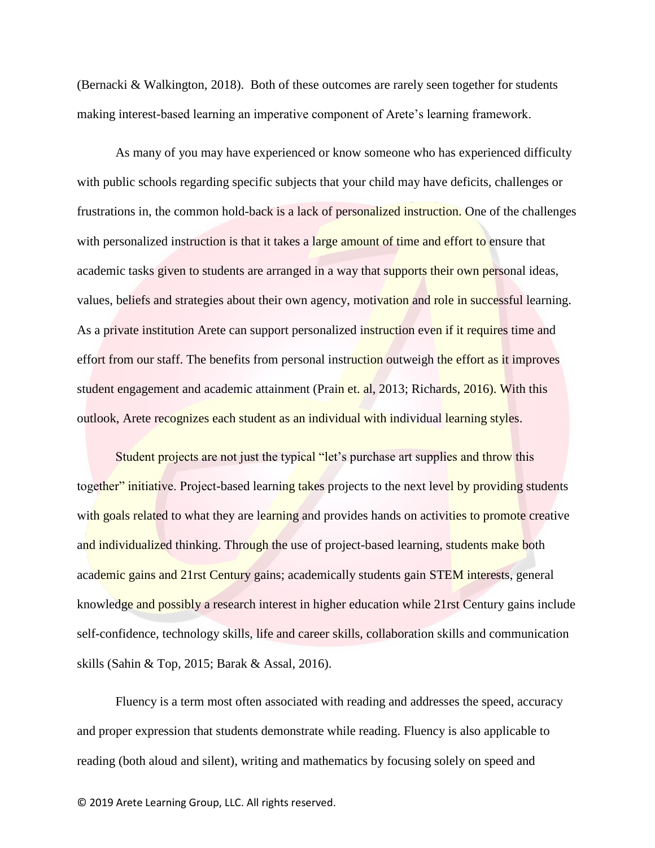(Bernacki & Walkington, 2018). Both of these outcomes are rarely seen together for students making interest-based learning an imperative component of Arete's learning framework.

As many of you may have experienced or know someone who has experienced difficulty with public schools regarding specific subjects that your child may have deficits, challenges or frustrations in, the common hold-back is a lack of personalized instruction. One of the challenges with personalized instruction is that it takes a large amount of time and effort to ensure that academic tasks given to students are arranged in a way that supports their own personal ideas, values, beliefs and strategies about their own agency, motivation and role in successful learning. As a private institution Arete can support personalized instruction even if it requires time and effort from our staff. The benefits from personal instruction outweigh the effort as it improves student engagement and academic attainment (Prain et. al, 2013; Richards, 2016). With this outlook, Arete recognizes each student as an individual with individual learning styles.

Student projects are not just the typical "let's purchase art supplies and throw this together" initiative. Project-based learning takes projects to the next level by providing students with goals related to what they are learning and provides hands on activities to promote creative and individualized thinking. Through the use of project-based learning, students make both academic gains and 21rst Century gains; academically students gain STEM interests, general knowledge and possibly a research interest in higher education while 21rst Century gains include self-confidence, technology skills, life and career skills, collaboration skills and communication skills (Sahin & Top, 2015; Barak & Assal, 2016).

Fluency is a term most often associated with reading and addresses the speed, accuracy and proper expression that students demonstrate while reading. Fluency is also applicable to reading (both aloud and silent), writing and mathematics by focusing solely on speed and